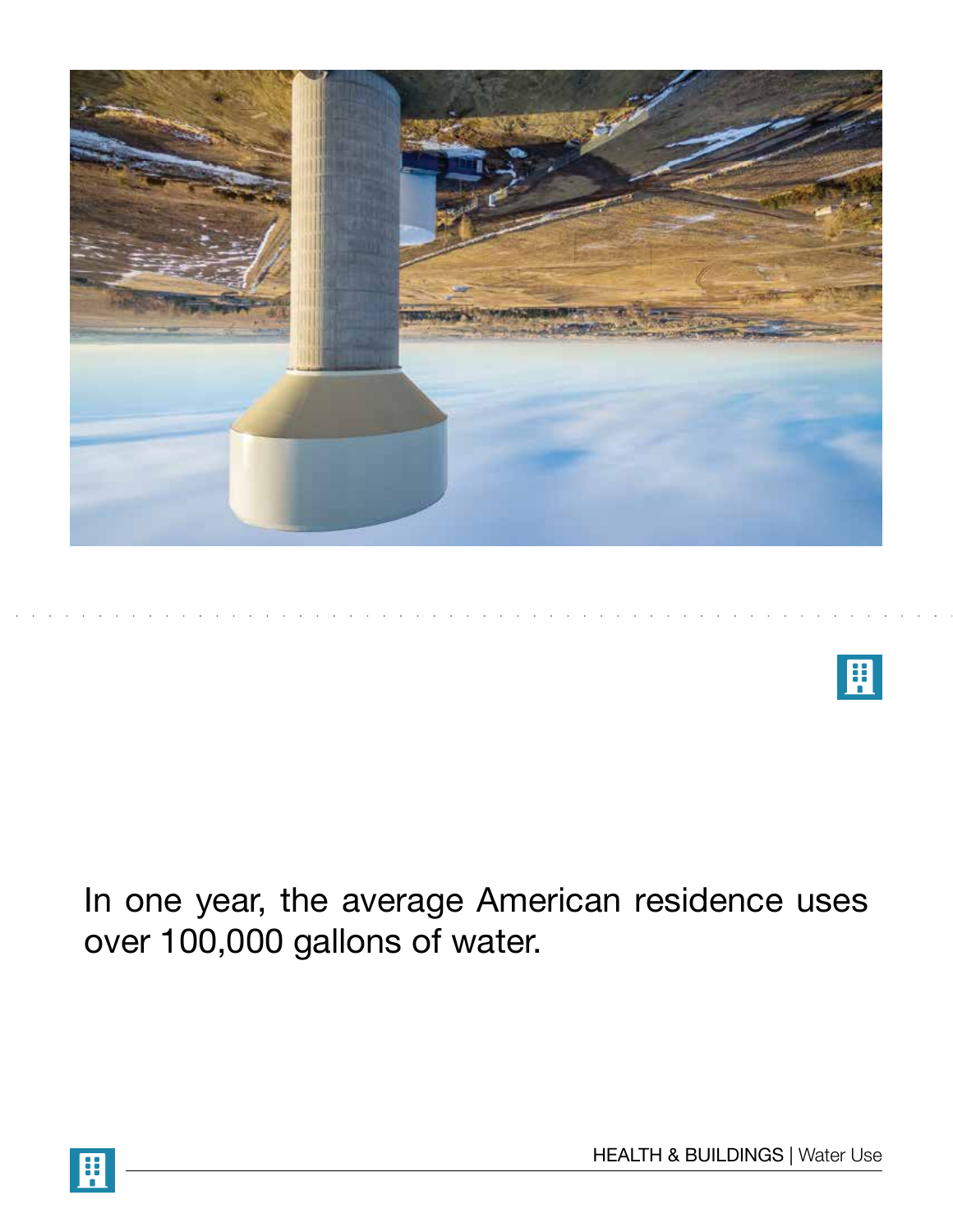



In one year, the average American residence uses over 100,000 gallons of water.

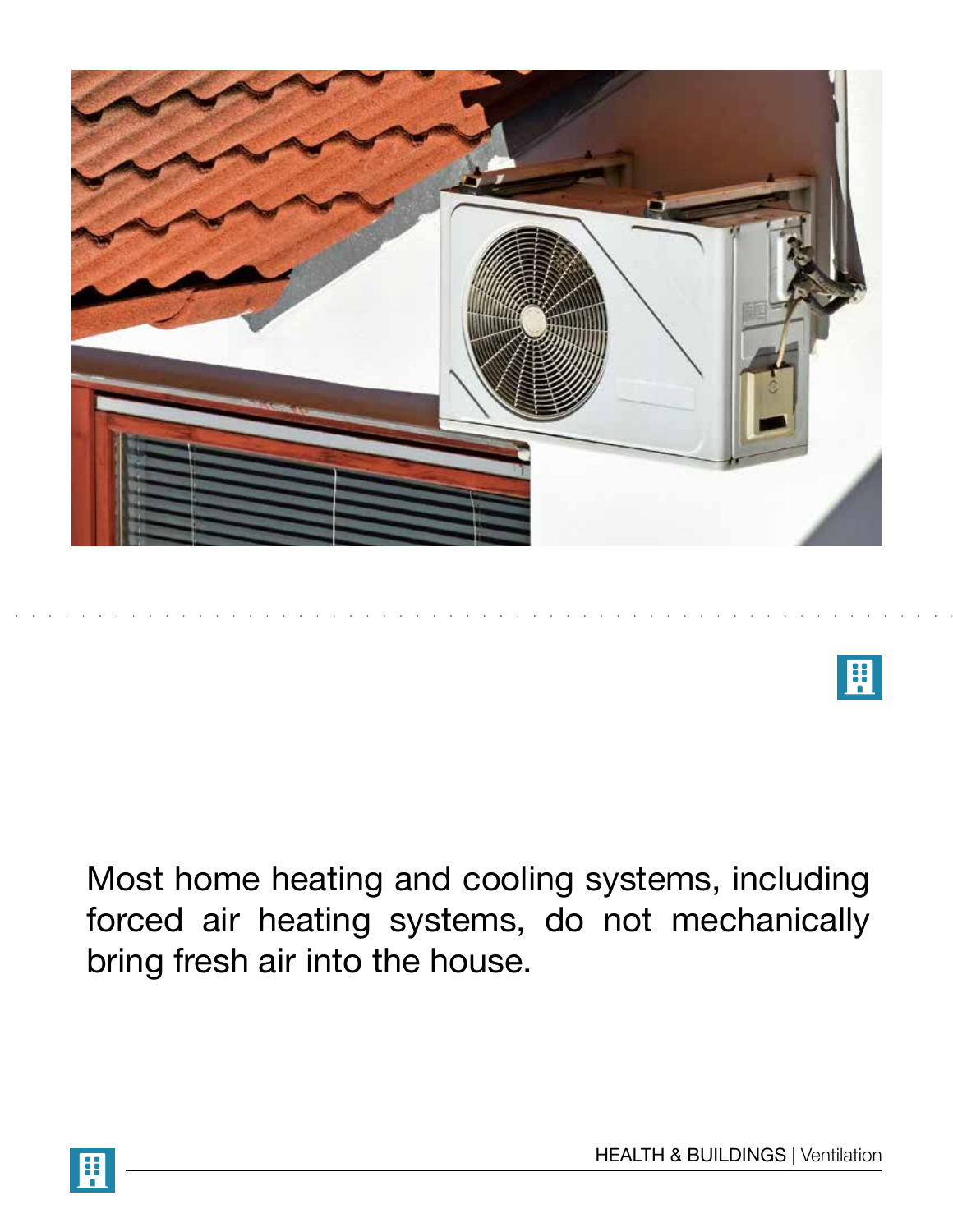



Most home heating and cooling systems, including forced air heating systems, do not mechanically bring fresh air into the house.

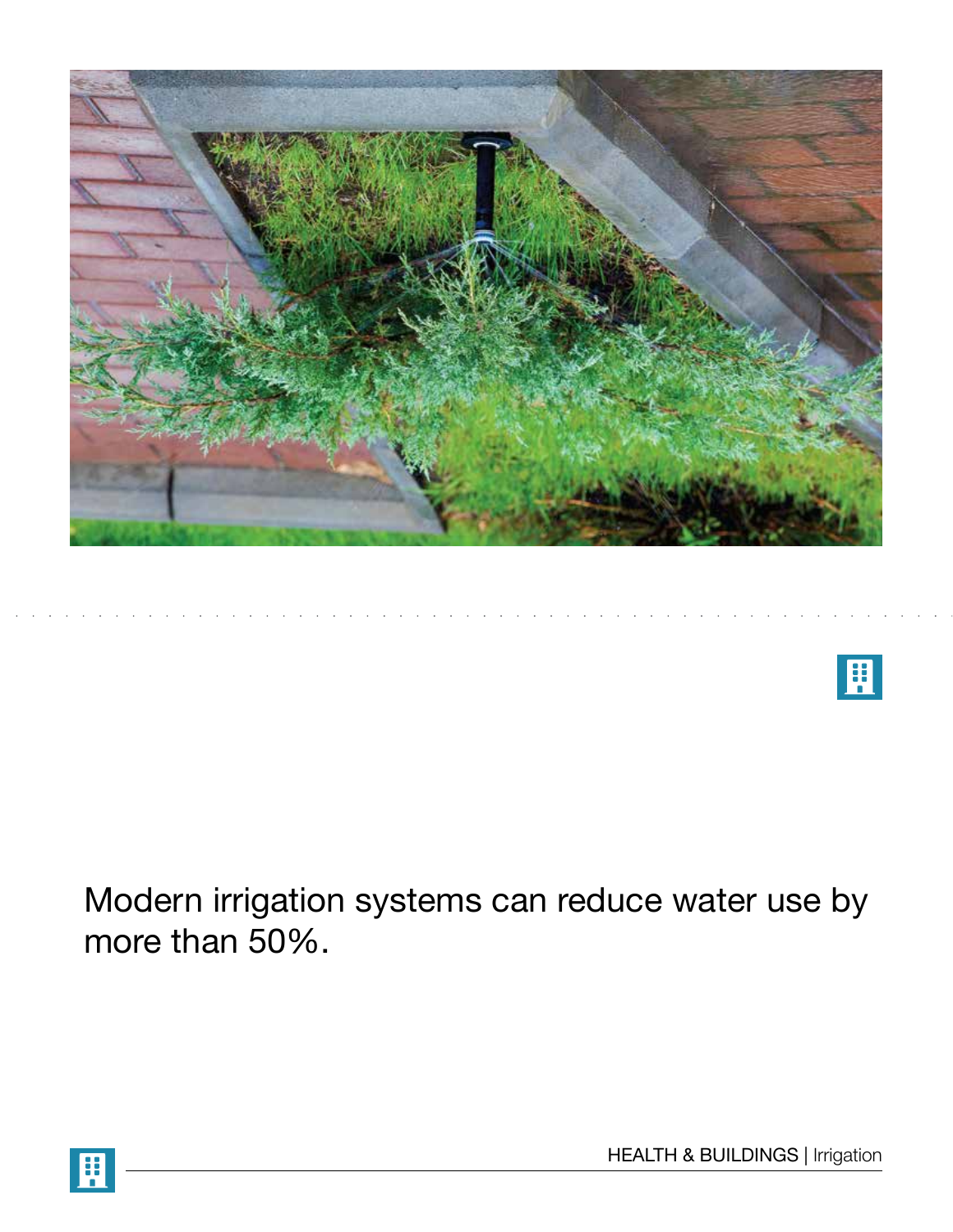



Modern irrigation systems can reduce water use by more than 50%.

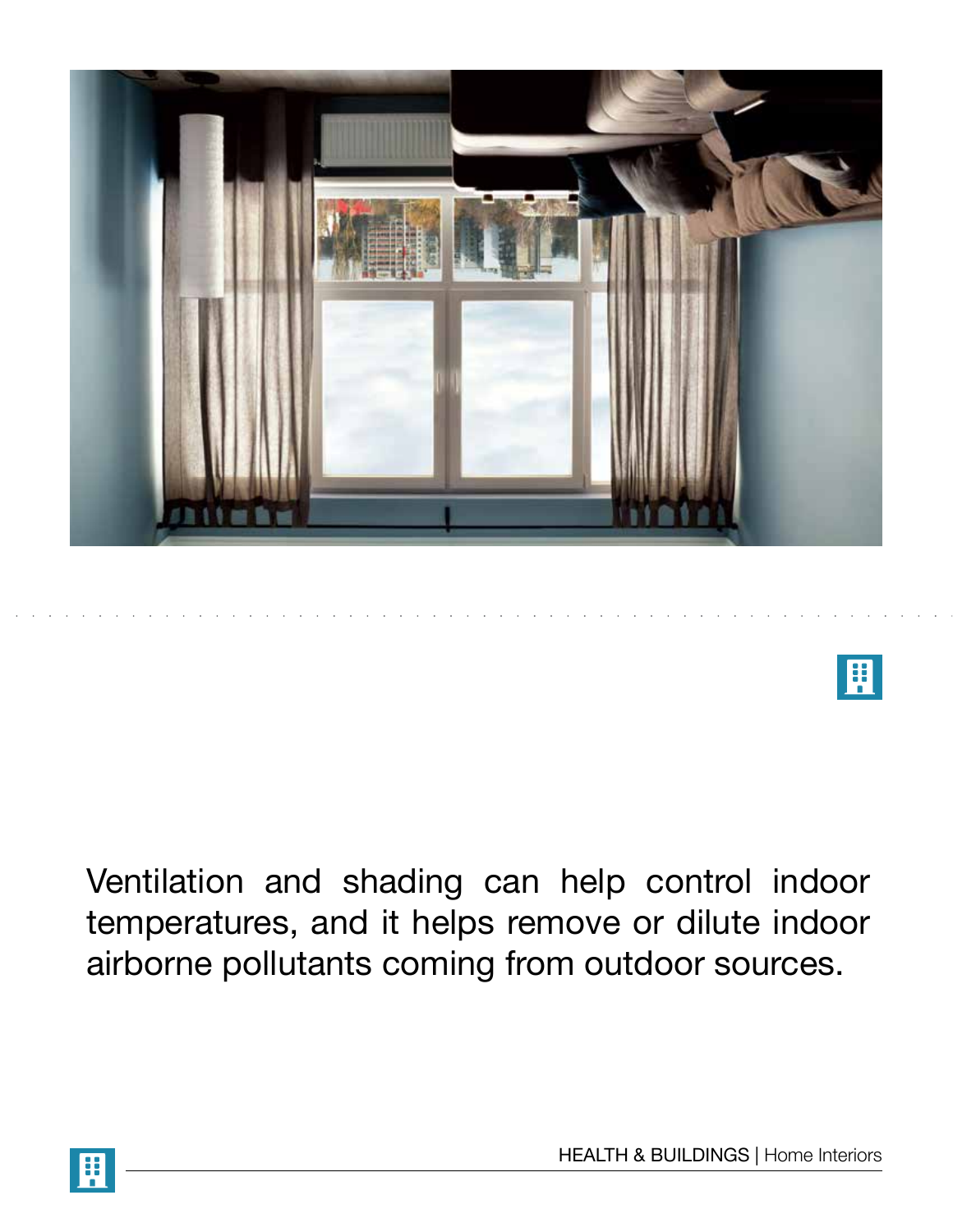

囲

Ventilation and shading can help control indoor temperatures, and it helps remove or dilute indoor airborne pollutants coming from outdoor sources.

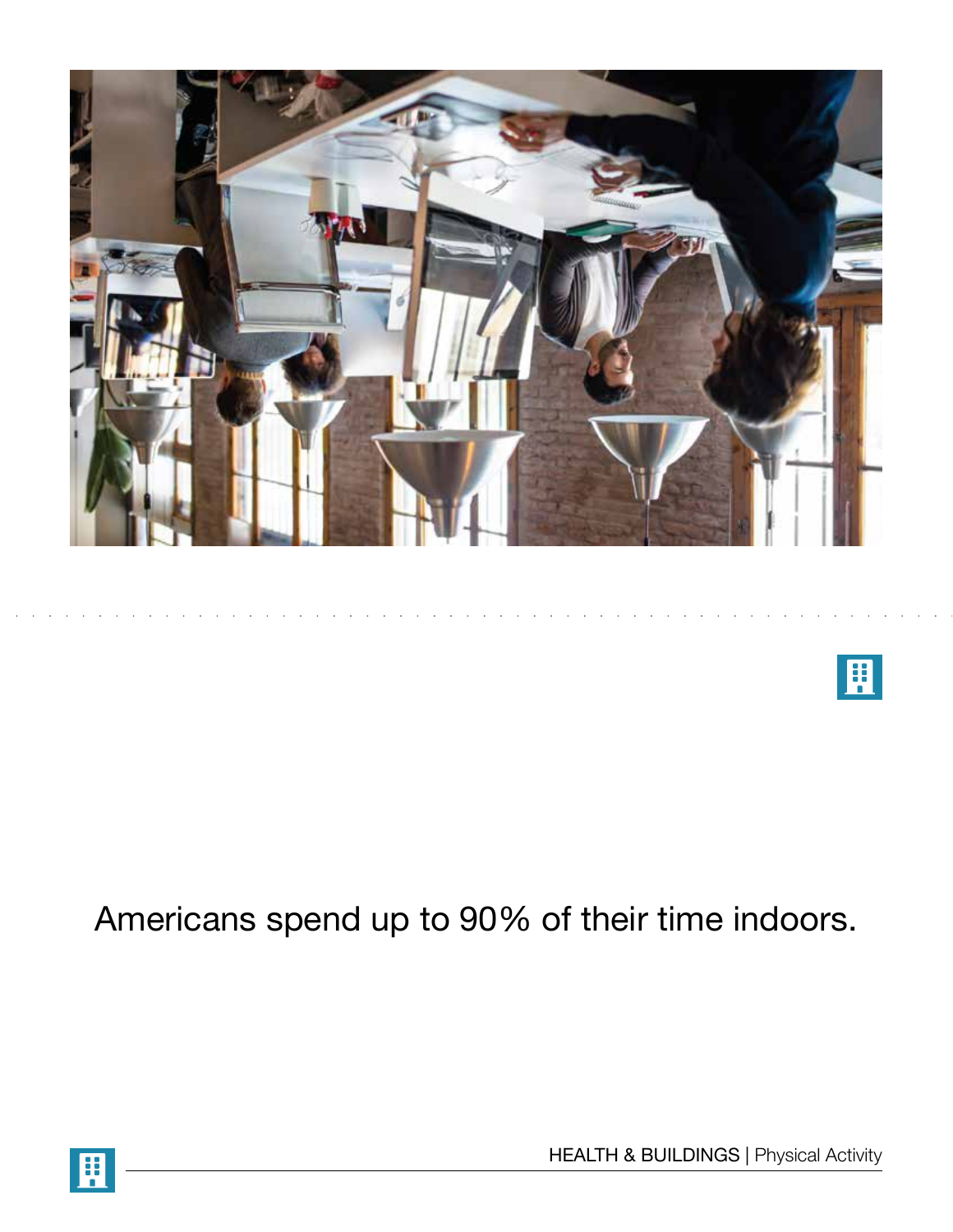

## $\mathbf{H}$

## Americans spend up to 90% of their time indoors.

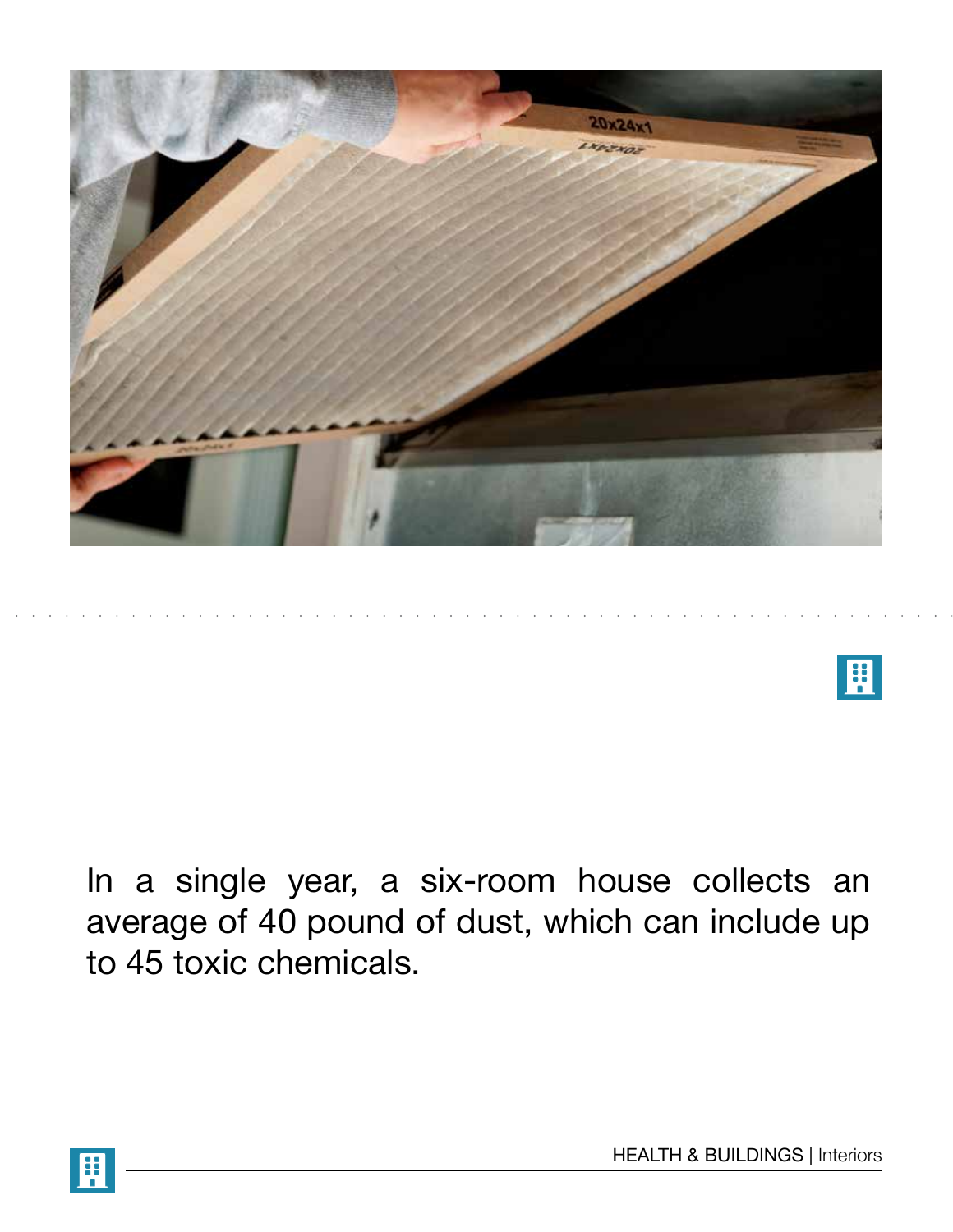

 $\mathbf{H}$ 

In a single year, a six-room house collects an average of 40 pound of dust, which can include up to 45 toxic chemicals.

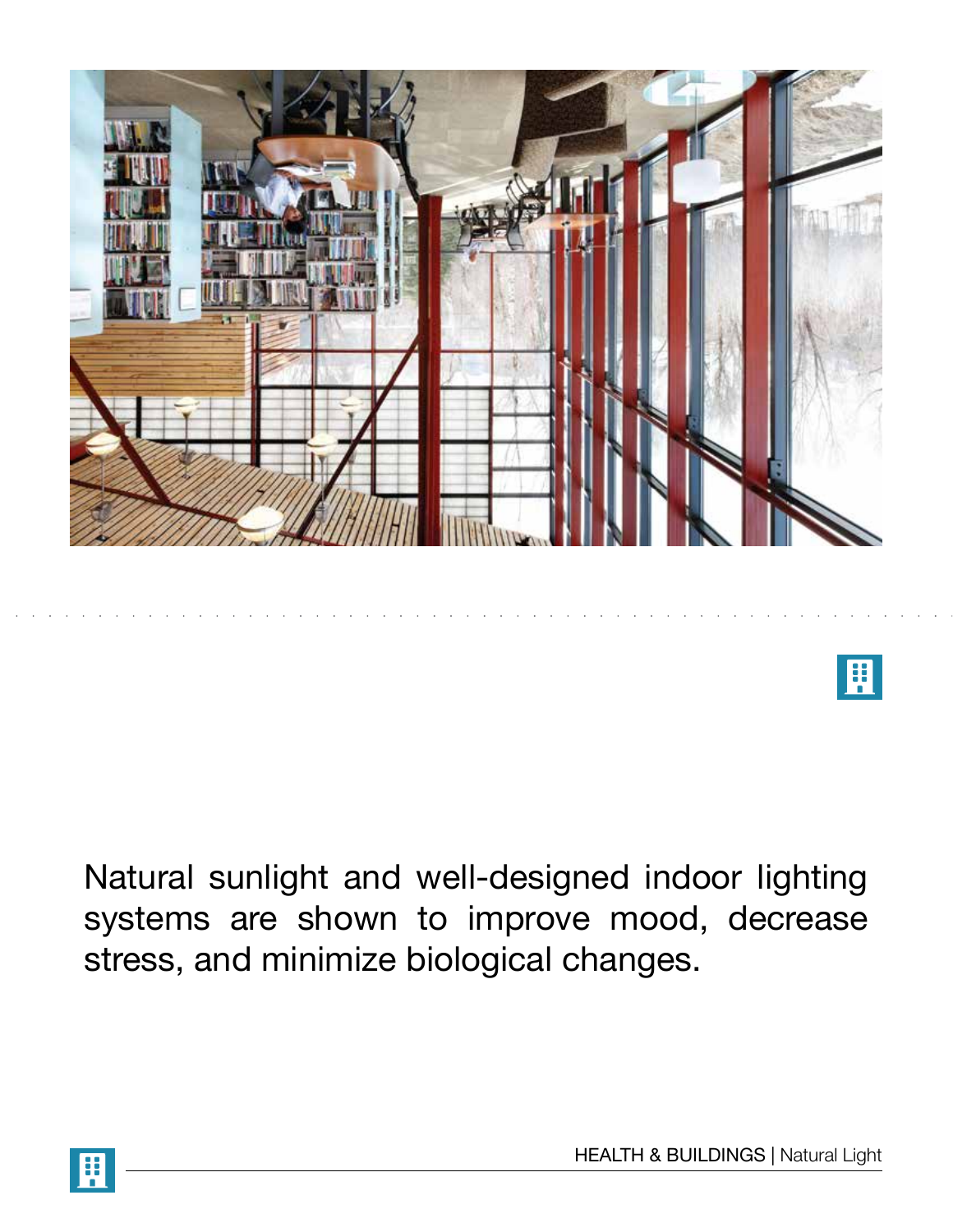

 $\mathbf{H}$ 

Natural sunlight and well-designed indoor lighting systems are shown to improve mood, decrease stress, and minimize biological changes.

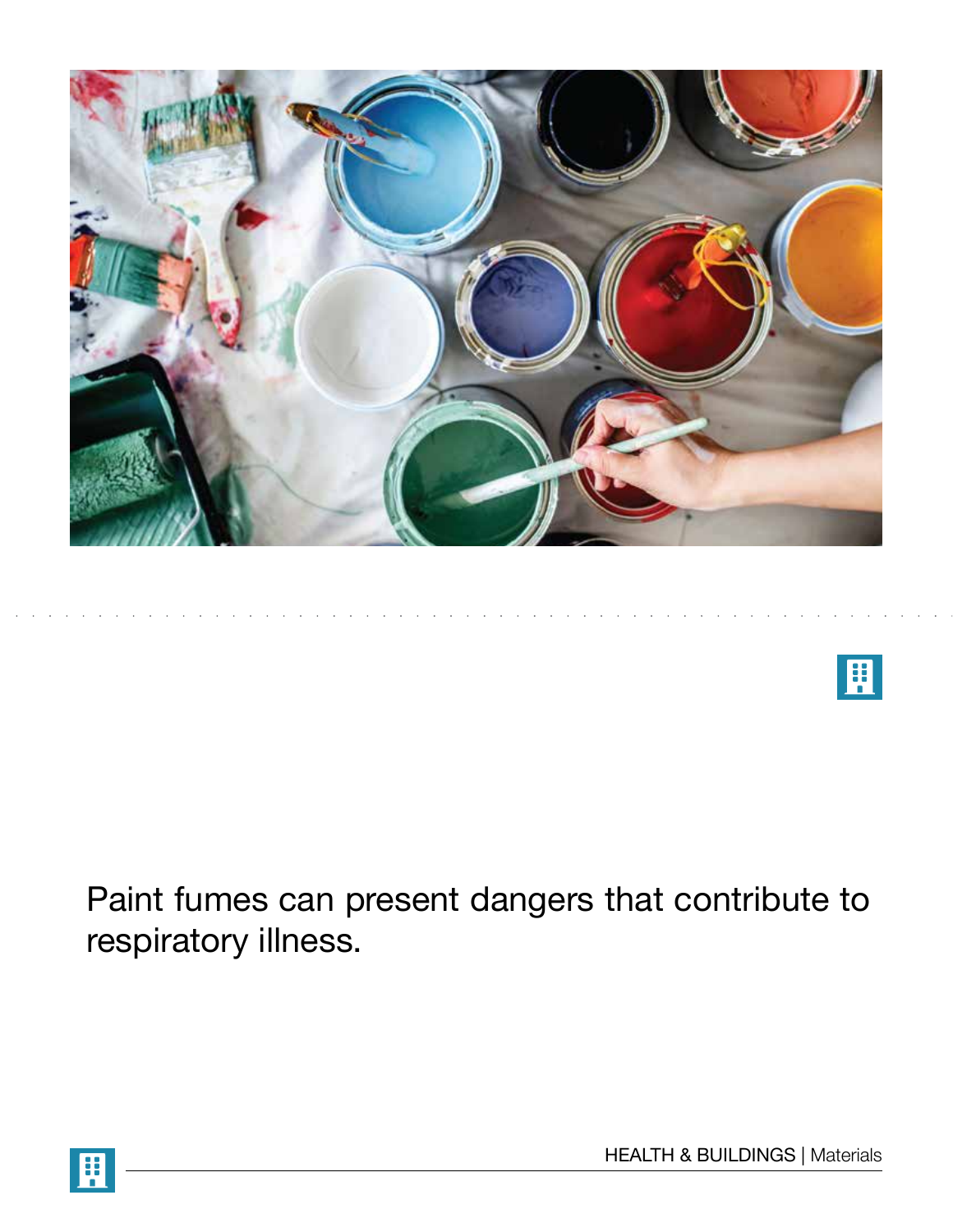



Paint fumes can present dangers that contribute to respiratory illness.

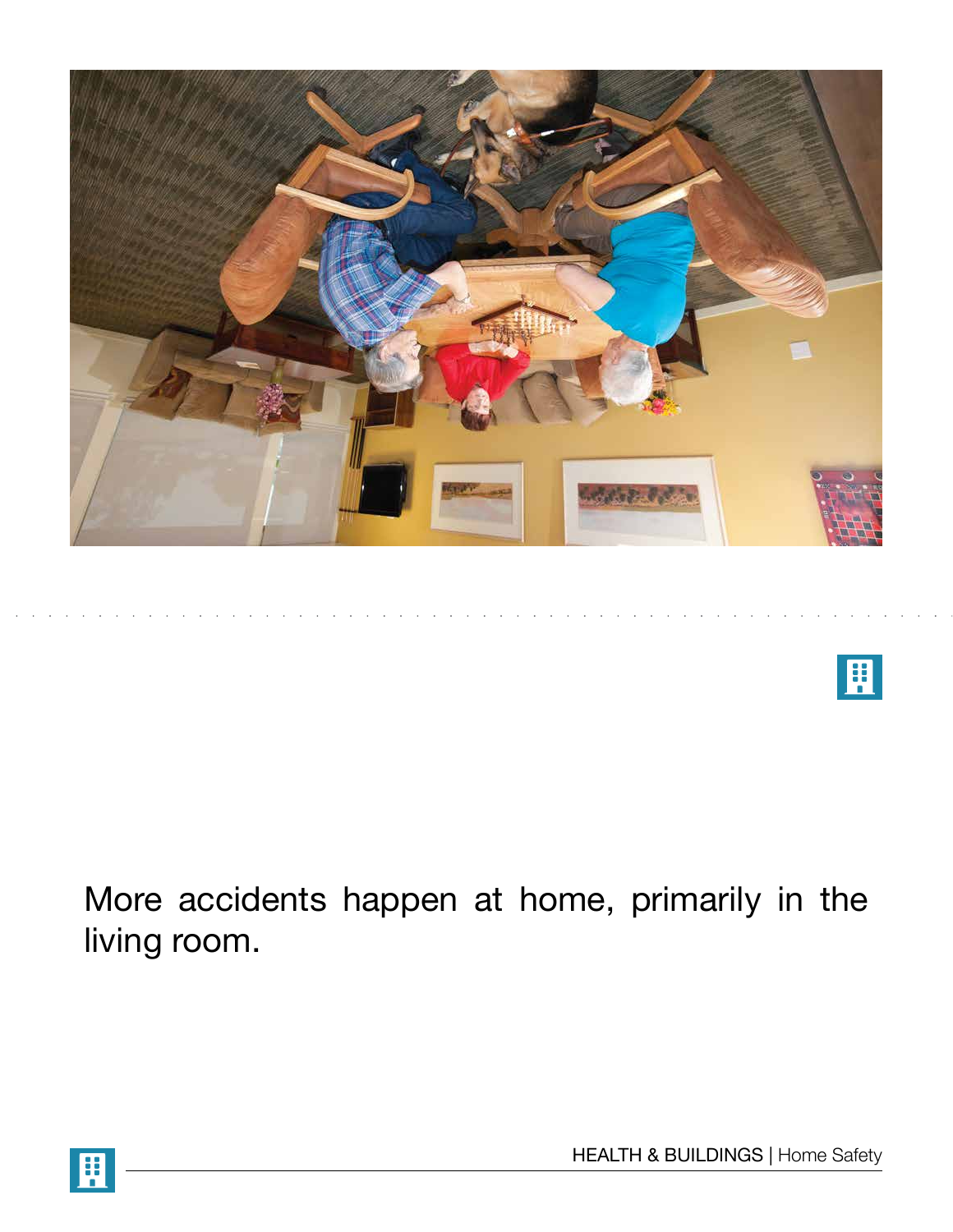



More accidents happen at home, primarily in the living room.

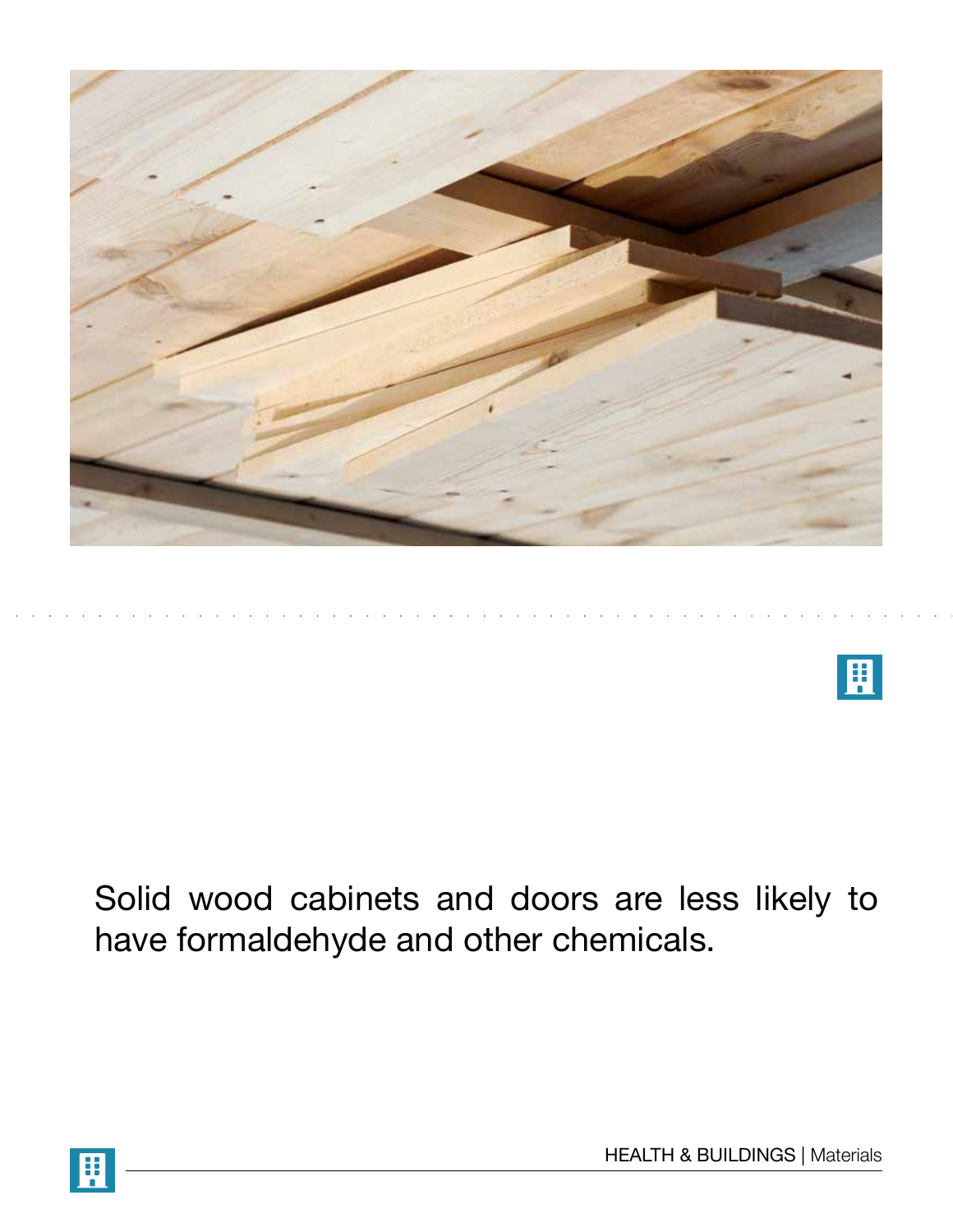



Solid wood cabinets and doors are less likely to have formaldehyde and other chemicals.

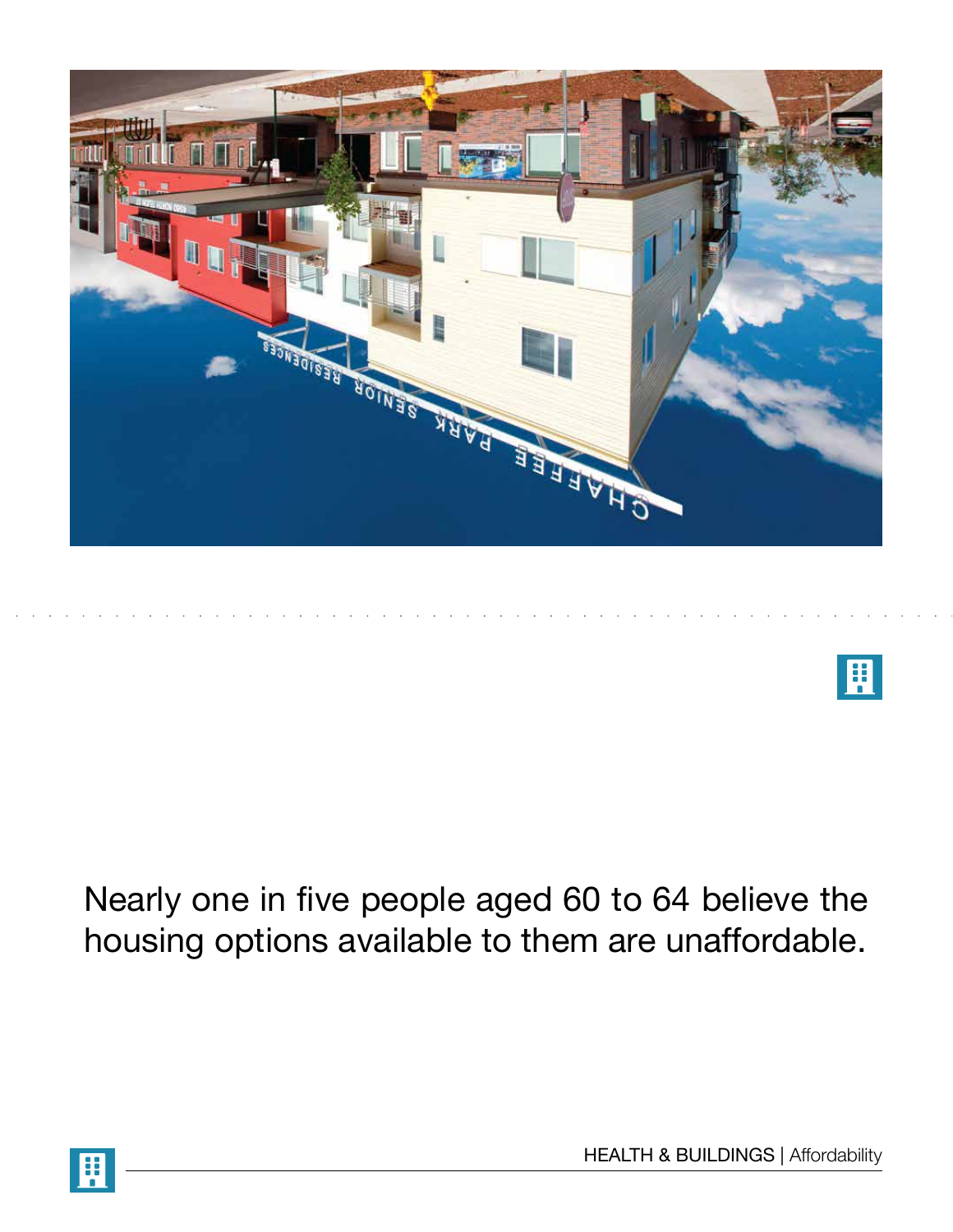



Nearly one in five people aged 60 to 64 believe the housing options available to them are unaffordable.

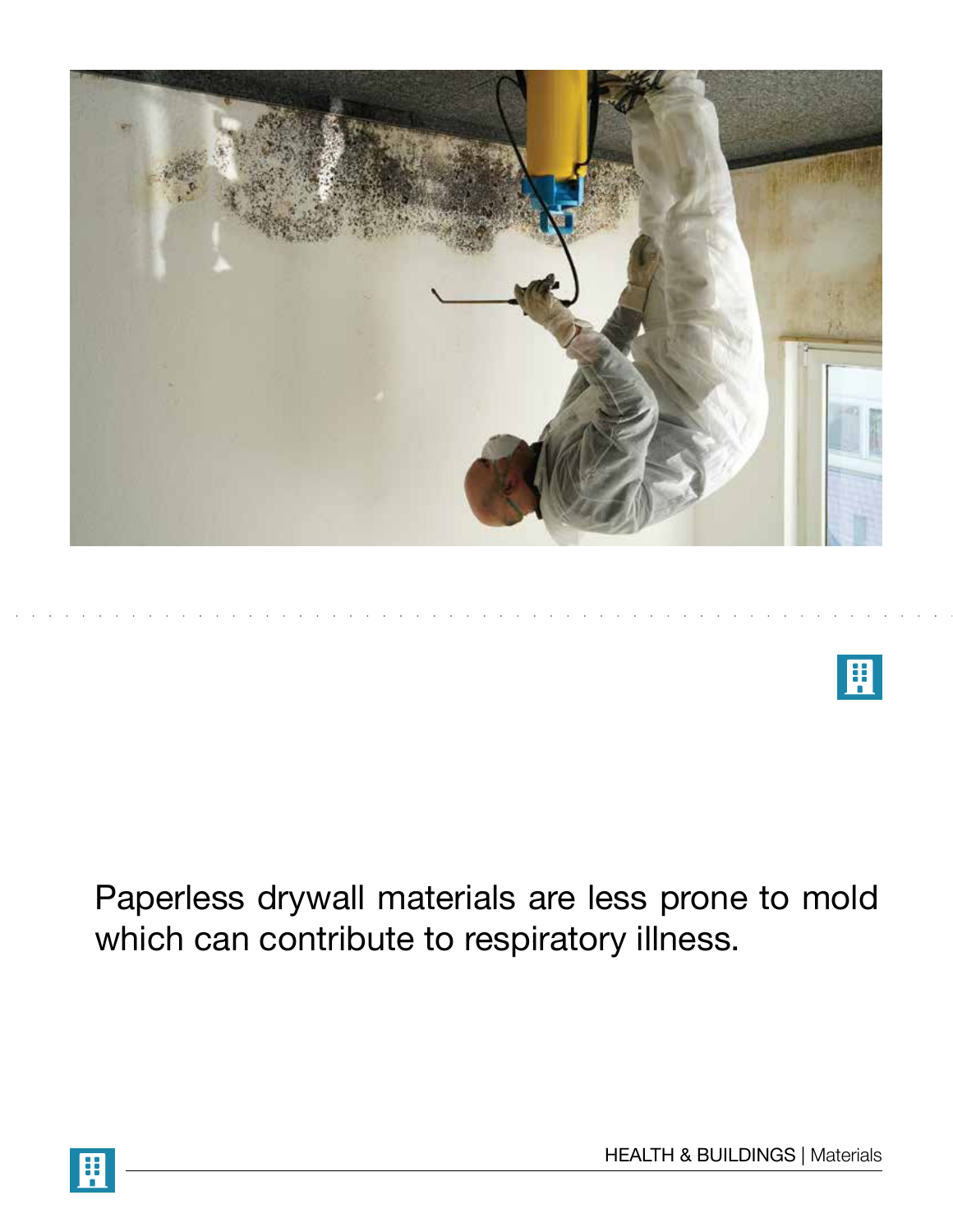



Paperless drywall materials are less prone to mold which can contribute to respiratory illness.